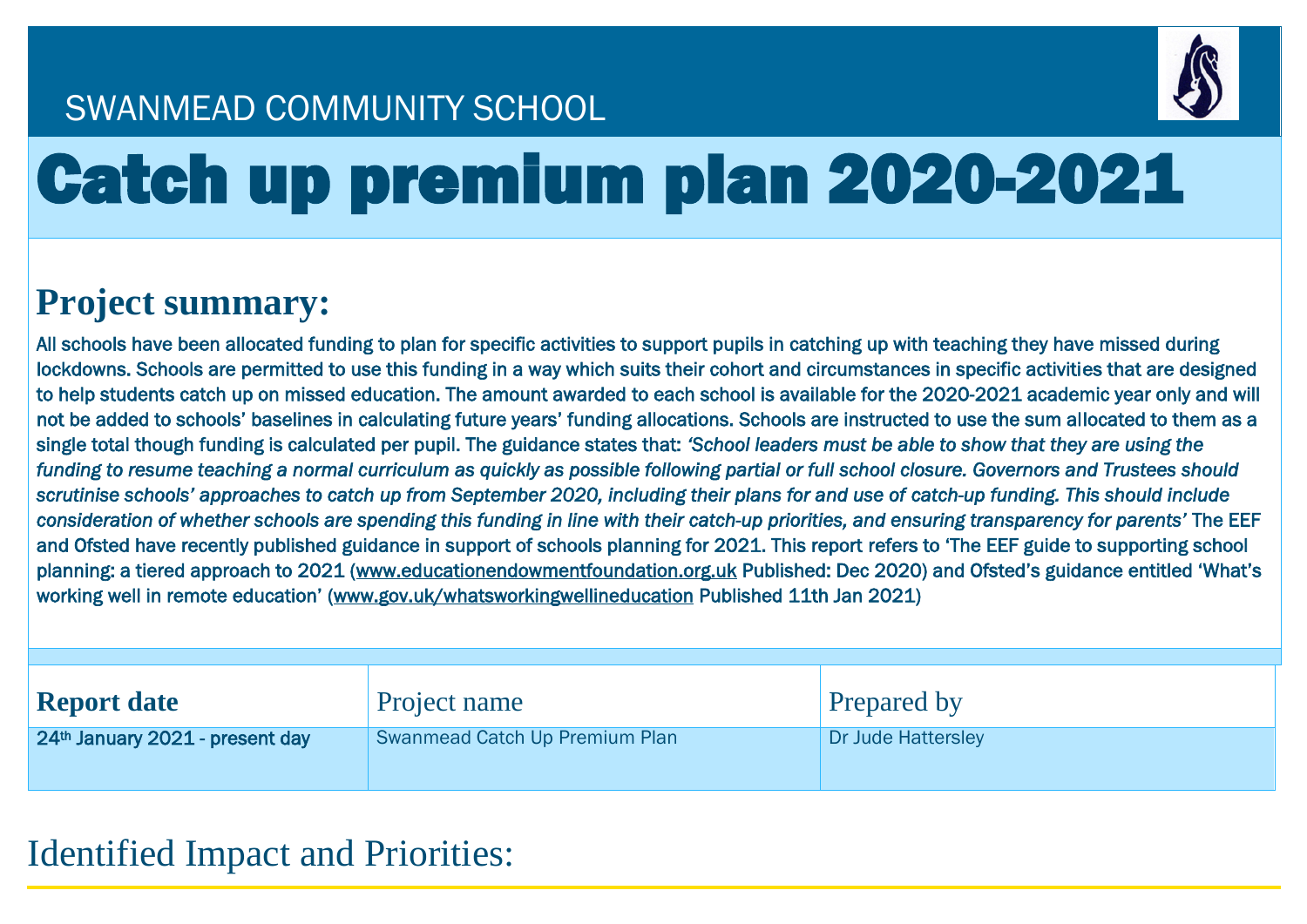

## SWANMEAD COMMUNITY SCHOOL

# Catch up premium plan 2020-2021

## **Project summary:**

All schools have been allocated funding to plan for specific activities to support pupils in catching up with teaching they have missed during lockdowns. Schools are permitted to use this funding in a way which suits their cohort and circumstances in specific activities that are designed to help students catch up on missed education. The amount awarded to each school is available for the 2020-2021 academic year only and will not be added to schools' baselines in calculating future years' funding allocations. Schools are instructed to use the sum allocated to them as a single total though funding is calculated per pupil. The guidance states that: *'School leaders must be able to show that they are using the funding to resume teaching a normal curriculum as quickly as possible following partial or full school closure. Governors and Trustees should*  scrutinise schools' approaches to catch up from September 2020, including their plans for and use of catch-up funding. This should include *consideration of whether schools are spending this funding in line with their catch-up priorities, and ensuring transparency for parents'* The EEF and Ofsted have recently published guidance in support of schools planning for 2021. This report refers to 'The EEF guide to supporting school planning: a tiered approach to 2021 [\(www.educationendowmentfoundation.org.uk](http://www.educationendowmentfoundation.org.uk/) Published: Dec 2020) and Ofsted's guidance entitled 'What's working well in remote education' [\(www.gov.uk/whatsworkingwellineducation](http://www.gov.uk/whatsworkingwellineducation) Published 11th Jan 2021)

| <b>Report date</b>                          | Project name                   | <b>Prepared by</b> |
|---------------------------------------------|--------------------------------|--------------------|
| 24 <sup>th</sup> January 2021 - present day | Swanmead Catch Up Premium Plan | Dr Jude Hattersley |

#### Identified Impact and Priorities: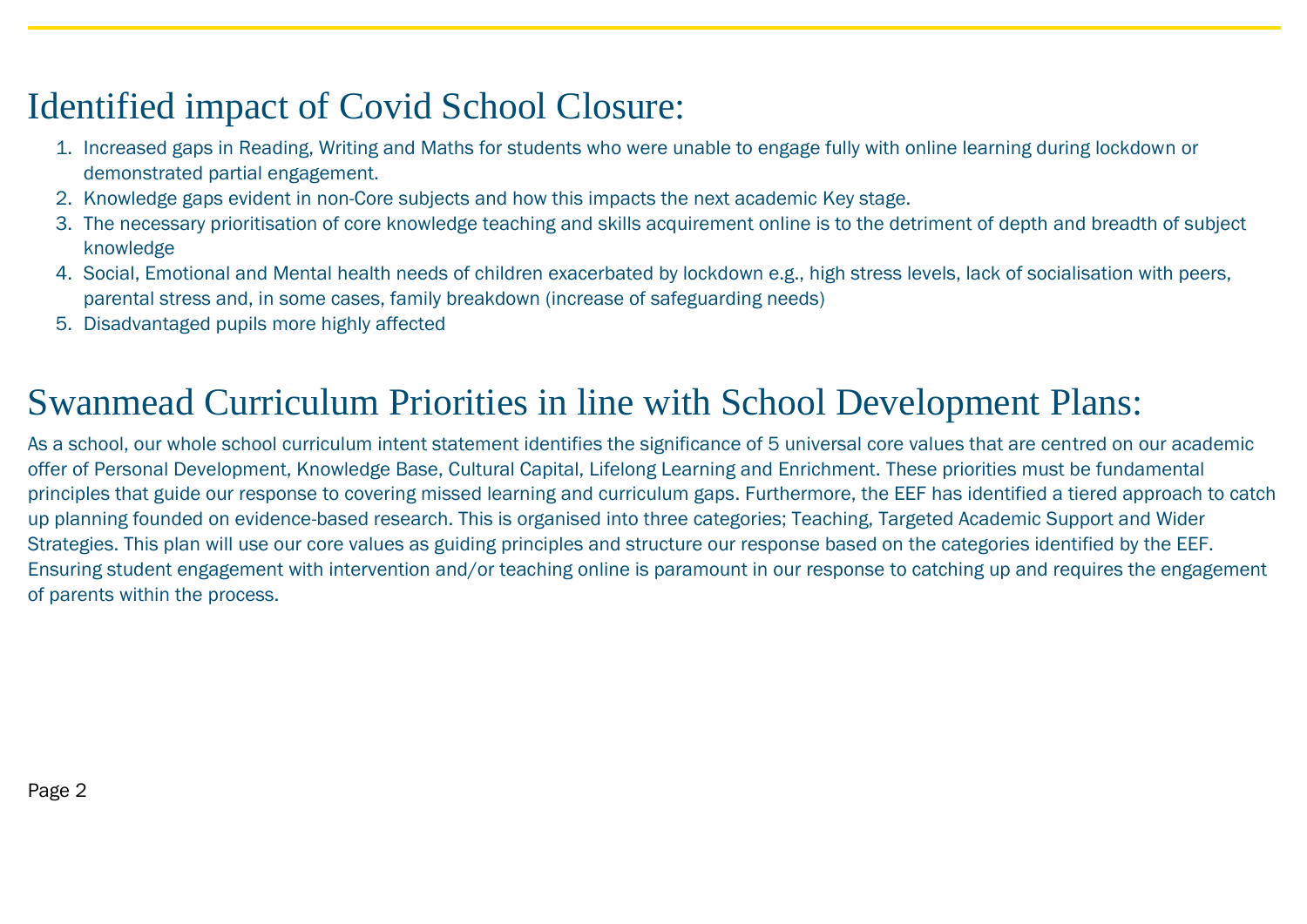#### Identified impact of Covid School Closure:

- 1. Increased gaps in Reading, Writing and Maths for students who were unable to engage fully with online learning during lockdown or demonstrated partial engagement.
- 2. Knowledge gaps evident in non-Core subjects and how this impacts the next academic Key stage.
- 3. The necessary prioritisation of core knowledge teaching and skills acquirement online is to the detriment of depth and breadth of subject knowledge
- 4. Social, Emotional and Mental health needs of children exacerbated by lockdown e.g., high stress levels, lack of socialisation with peers, parental stress and, in some cases, family breakdown (increase of safeguarding needs)
- 5. Disadvantaged pupils more highly affected

## Swanmead Curriculum Priorities in line with School Development Plans:

As a school, our whole school curriculum intent statement identifies the significance of 5 universal core values that are centred on our academic offer of Personal Development, Knowledge Base, Cultural Capital, Lifelong Learning and Enrichment. These priorities must be fundamental principles that guide our response to covering missed learning and curriculum gaps. Furthermore, the EEF has identified a tiered approach to catch up planning founded on evidence-based research. This is organised into three categories; Teaching, Targeted Academic Support and Wider Strategies. This plan will use our core values as guiding principles and structure our response based on the categories identified by the EEF. Ensuring student engagement with intervention and/or teaching online is paramount in our response to catching up and requires the engagement of parents within the process.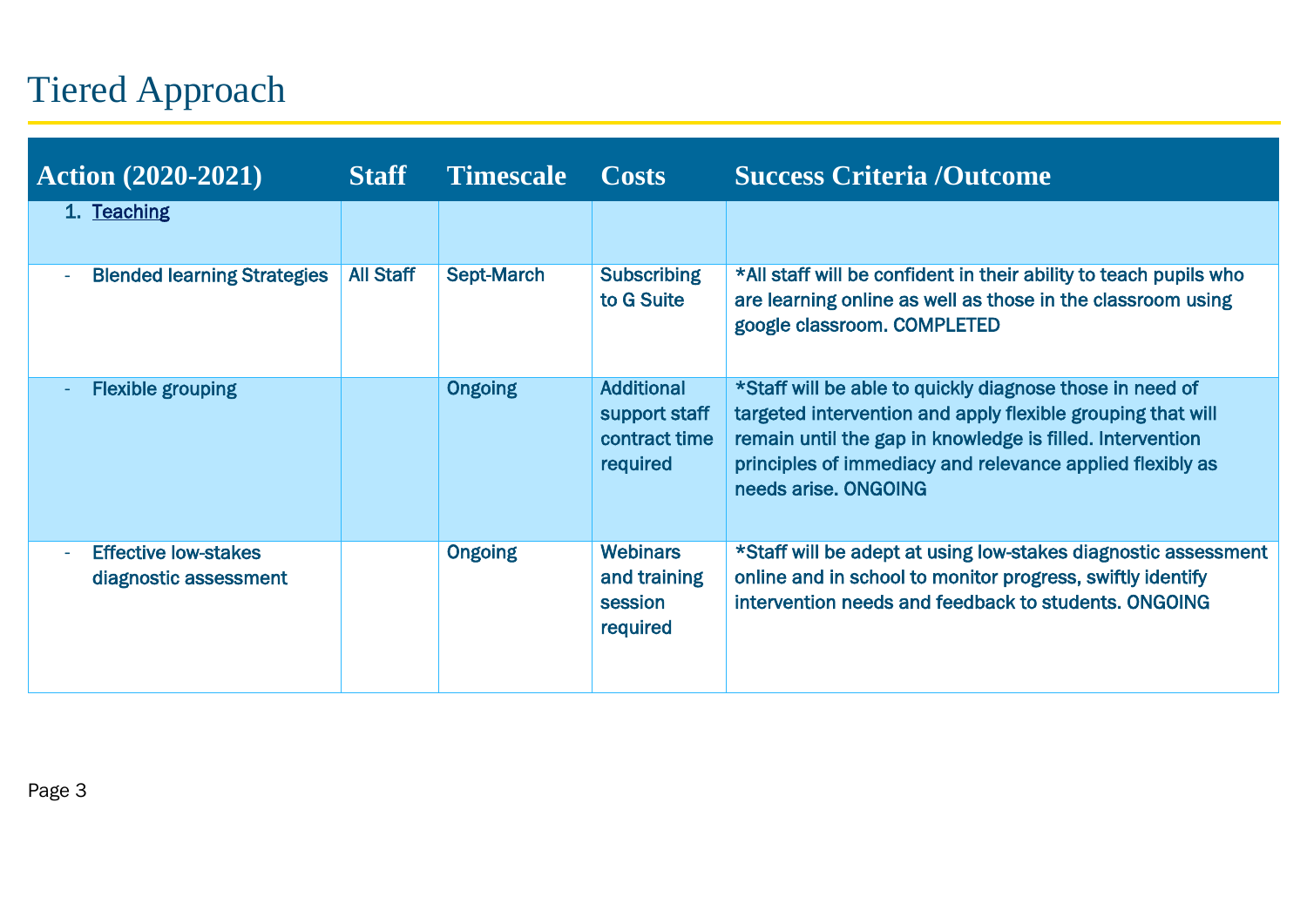# Tiered Approach

| <b>Action (2020-2021)</b>                                         | <b>Staff</b>     | <b>Timescale</b> | <b>Costs</b>                                                    | <b>Success Criteria /Outcome</b>                                                                                                                                                                                                                                          |
|-------------------------------------------------------------------|------------------|------------------|-----------------------------------------------------------------|---------------------------------------------------------------------------------------------------------------------------------------------------------------------------------------------------------------------------------------------------------------------------|
| 1. Teaching                                                       |                  |                  |                                                                 |                                                                                                                                                                                                                                                                           |
| <b>Blended learning Strategies</b><br>ä,                          | <b>All Staff</b> | Sept-March       | <b>Subscribing</b><br>to G Suite                                | *All staff will be confident in their ability to teach pupils who<br>are learning online as well as those in the classroom using<br>google classroom. COMPLETED                                                                                                           |
| <b>Flexible grouping</b>                                          |                  | <b>Ongoing</b>   | <b>Additional</b><br>support staff<br>contract time<br>required | *Staff will be able to quickly diagnose those in need of<br>targeted intervention and apply flexible grouping that will<br>remain until the gap in knowledge is filled. Intervention<br>principles of immediacy and relevance applied flexibly as<br>needs arise, ONGOING |
| <b>Effective low-stakes</b><br>$\bar{a}$<br>diagnostic assessment |                  | <b>Ongoing</b>   | <b>Webinars</b><br>and training<br>session<br>required          | *Staff will be adept at using low-stakes diagnostic assessment<br>online and in school to monitor progress, swiftly identify<br>intervention needs and feedback to students, ONGOING                                                                                      |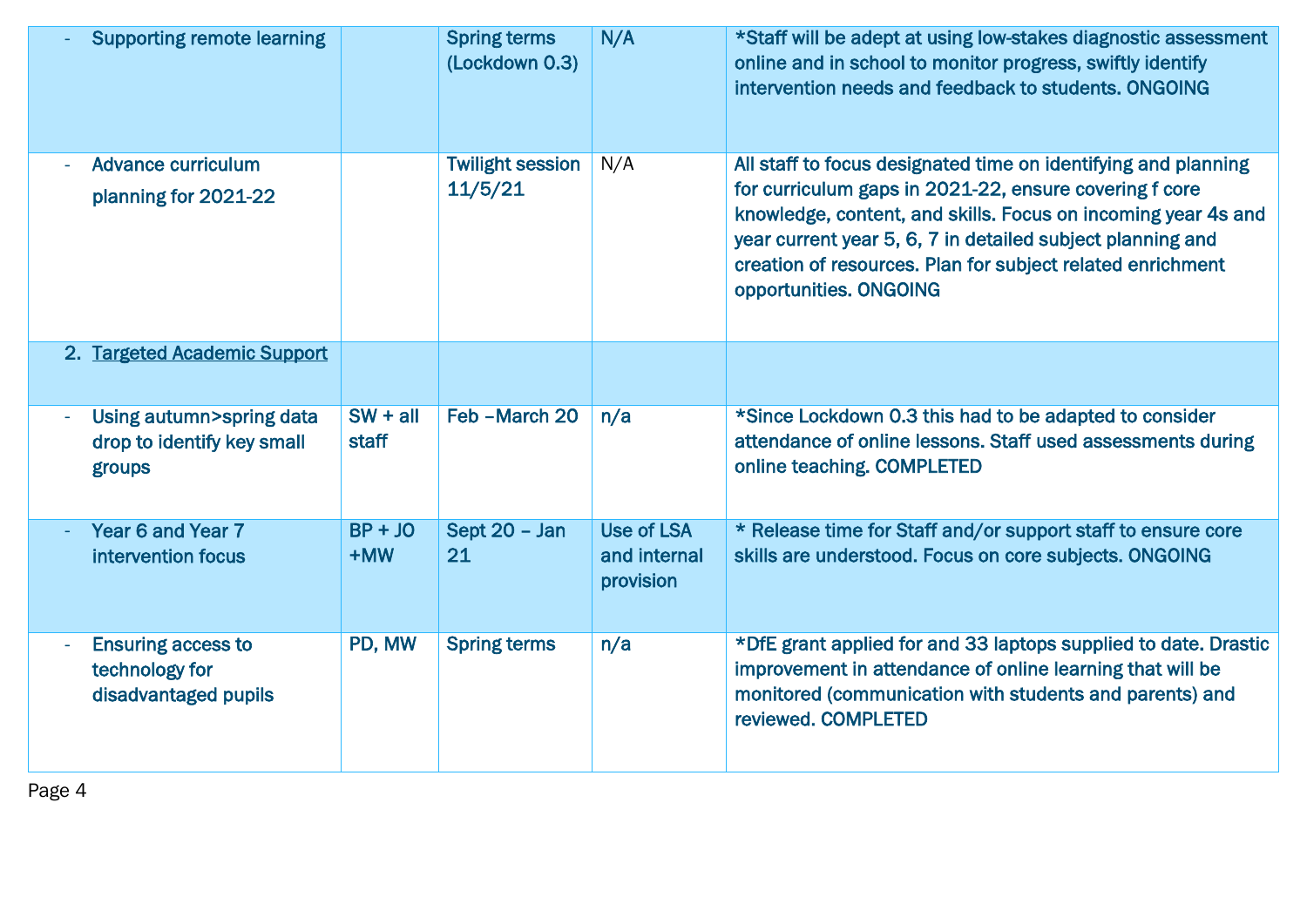| <b>Supporting remote learning</b>                                   |                     | <b>Spring terms</b><br>(Lockdown 0.3) | N/A                                            | *Staff will be adept at using low-stakes diagnostic assessment<br>online and in school to monitor progress, swiftly identify<br>intervention needs and feedback to students, ONGOING                                                                                                                                                            |
|---------------------------------------------------------------------|---------------------|---------------------------------------|------------------------------------------------|-------------------------------------------------------------------------------------------------------------------------------------------------------------------------------------------------------------------------------------------------------------------------------------------------------------------------------------------------|
| <b>Advance curriculum</b><br>planning for 2021-22                   |                     | <b>Twilight session</b><br>11/5/21    | N/A                                            | All staff to focus designated time on identifying and planning<br>for curriculum gaps in 2021-22, ensure covering f core<br>knowledge, content, and skills. Focus on incoming year 4s and<br>year current year 5, 6, 7 in detailed subject planning and<br>creation of resources. Plan for subject related enrichment<br>opportunities. ONGOING |
| 2. Targeted Academic Support                                        |                     |                                       |                                                |                                                                                                                                                                                                                                                                                                                                                 |
| Using autumn>spring data<br>drop to identify key small<br>groups    | $SW + all$<br>staff | Feb - March 20                        | n/a                                            | *Since Lockdown 0.3 this had to be adapted to consider<br>attendance of online lessons. Staff used assessments during<br>online teaching. COMPLETED                                                                                                                                                                                             |
| Year 6 and Year 7<br>intervention focus                             | $BP + JO$<br>+MW    | Sept 20 - Jan<br>21                   | <b>Use of LSA</b><br>and internal<br>provision | * Release time for Staff and/or support staff to ensure core<br>skills are understood. Focus on core subjects. ONGOING                                                                                                                                                                                                                          |
| <b>Ensuring access to</b><br>technology for<br>disadvantaged pupils | PD, MW              | <b>Spring terms</b>                   | n/a                                            | *DfE grant applied for and 33 laptops supplied to date. Drastic<br>improvement in attendance of online learning that will be<br>monitored (communication with students and parents) and<br>reviewed. COMPLETED                                                                                                                                  |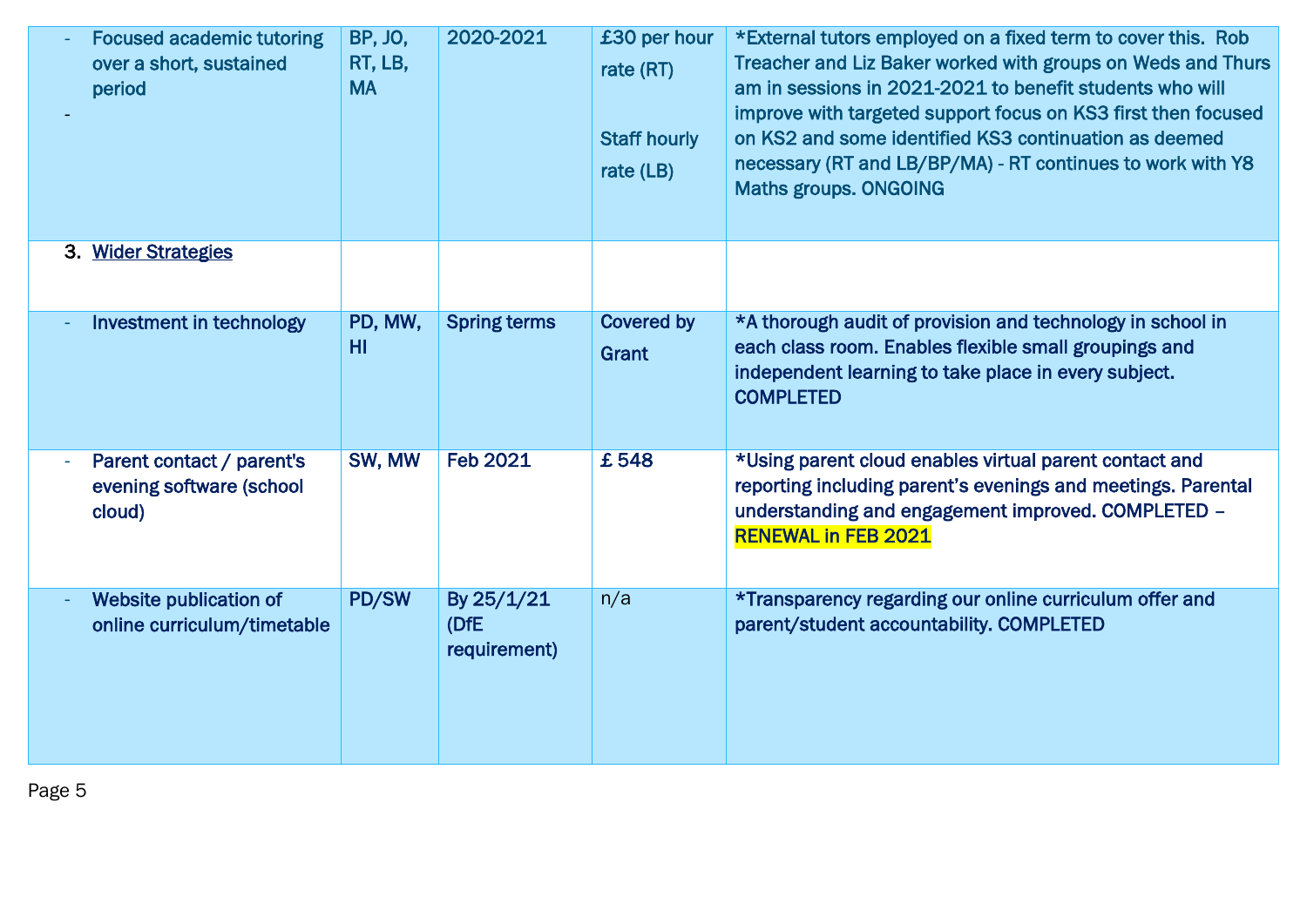| <b>Focused academic tutoring</b><br>over a short, sustained<br>period | <b>BP, JO,</b><br>RT, LB,<br><b>MA</b> | 2020-2021                          | £30 per hour<br>rate (RT)<br><b>Staff hourly</b><br>rate (LB) | *External tutors employed on a fixed term to cover this. Rob<br>Treacher and Liz Baker worked with groups on Weds and Thurs<br>am in sessions in 2021-2021 to benefit students who will<br>improve with targeted support focus on KS3 first then focused<br>on KS2 and some identified KS3 continuation as deemed<br>necessary (RT and LB/BP/MA) - RT continues to work with Y8<br>Maths groups. ONGOING |  |
|-----------------------------------------------------------------------|----------------------------------------|------------------------------------|---------------------------------------------------------------|----------------------------------------------------------------------------------------------------------------------------------------------------------------------------------------------------------------------------------------------------------------------------------------------------------------------------------------------------------------------------------------------------------|--|
| 3. Wider Strategies                                                   |                                        |                                    |                                                               |                                                                                                                                                                                                                                                                                                                                                                                                          |  |
| Investment in technology                                              | PD, MW,<br>HI                          | <b>Spring terms</b>                | <b>Covered by</b><br>Grant                                    | *A thorough audit of provision and technology in school in<br>each class room. Enables flexible small groupings and<br>independent learning to take place in every subject.<br><b>COMPLETED</b>                                                                                                                                                                                                          |  |
| Parent contact / parent's<br>evening software (school<br>cloud)       | SW, MW                                 | <b>Feb 2021</b>                    | £548                                                          | *Using parent cloud enables virtual parent contact and<br>reporting including parent's evenings and meetings. Parental<br>understanding and engagement improved. COMPLETED -<br><b>RENEWAL in FEB 2021</b>                                                                                                                                                                                               |  |
| Website publication of<br>online curriculum/timetable                 | PD/SW                                  | By 25/1/21<br>(DfE<br>requirement) | n/a                                                           | *Transparency regarding our online curriculum offer and<br>parent/student accountability. COMPLETED                                                                                                                                                                                                                                                                                                      |  |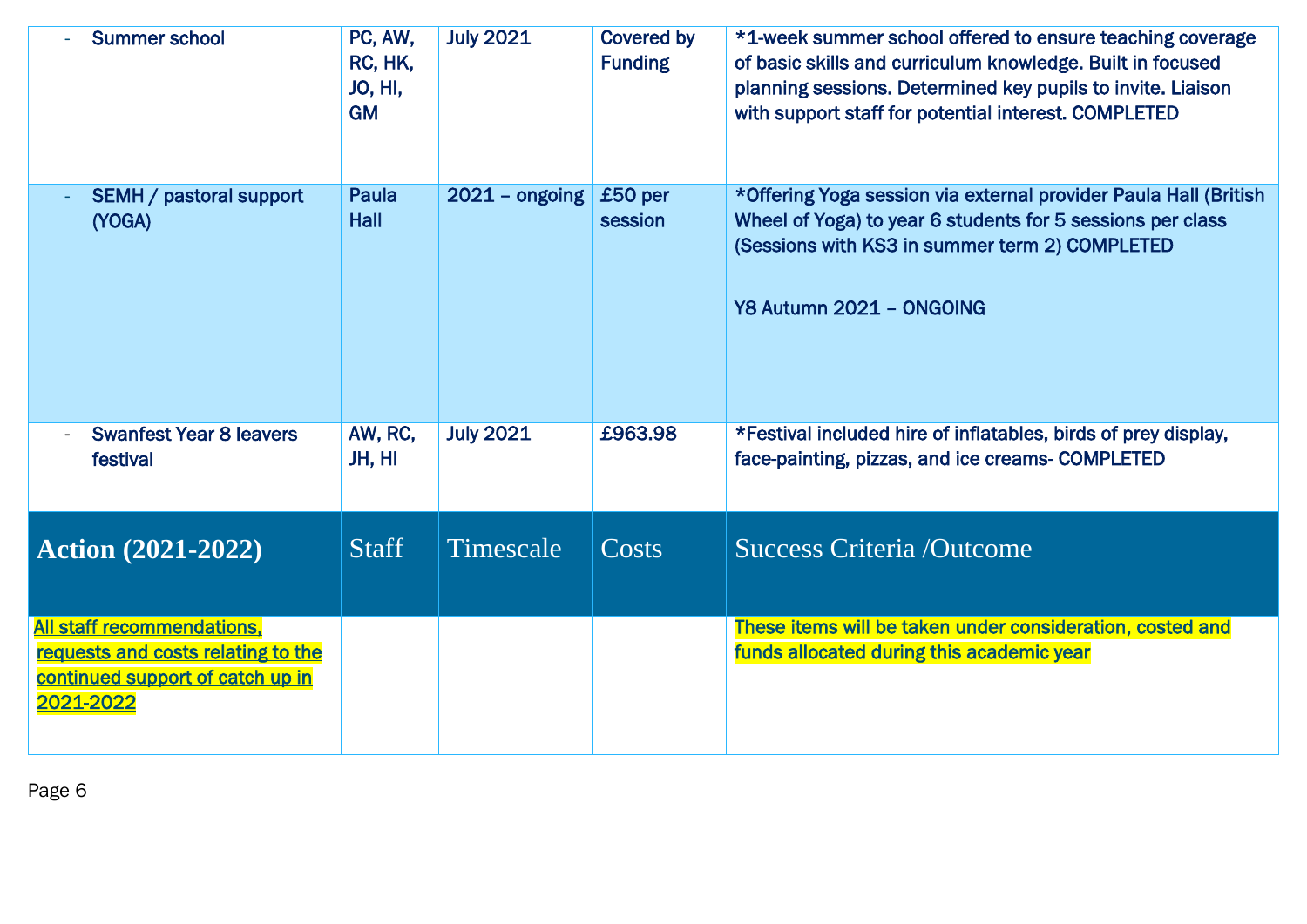| <b>Summer school</b>                                                                                                     | PC, AW,<br>RC, HK,<br><b>JO, HI,</b><br><b>GM</b> | <b>July 2021</b> | <b>Covered by</b><br><b>Funding</b> | *1-week summer school offered to ensure teaching coverage<br>of basic skills and curriculum knowledge. Built in focused<br>planning sessions. Determined key pupils to invite. Liaison<br>with support staff for potential interest. COMPLETED |
|--------------------------------------------------------------------------------------------------------------------------|---------------------------------------------------|------------------|-------------------------------------|------------------------------------------------------------------------------------------------------------------------------------------------------------------------------------------------------------------------------------------------|
| <b>SEMH / pastoral support</b><br>(YOGA)                                                                                 | Paula<br>Hall                                     | $2021 -$ ongoing | £50 per<br>session                  | *Offering Yoga session via external provider Paula Hall (British<br>Wheel of Yoga) to year 6 students for 5 sessions per class<br>(Sessions with KS3 in summer term 2) COMPLETED<br>Y8 Autumn 2021 - ONGOING                                   |
| <b>Swanfest Year 8 leavers</b><br>festival                                                                               | AW, RC,<br>JH, HI                                 | <b>July 2021</b> | £963.98                             | *Festival included hire of inflatables, birds of prey display,<br>face-painting, pizzas, and ice creams- COMPLETED                                                                                                                             |
| <b>Action (2021-2022)</b>                                                                                                | <b>Staff</b>                                      | Timescale        | Costs                               | <b>Success Criteria /Outcome</b>                                                                                                                                                                                                               |
| <b>All staff recommendations,</b><br>requests and costs relating to the<br>continued support of catch up in<br>2021-2022 |                                                   |                  |                                     | These items will be taken under consideration, costed and<br>funds allocated during this academic year                                                                                                                                         |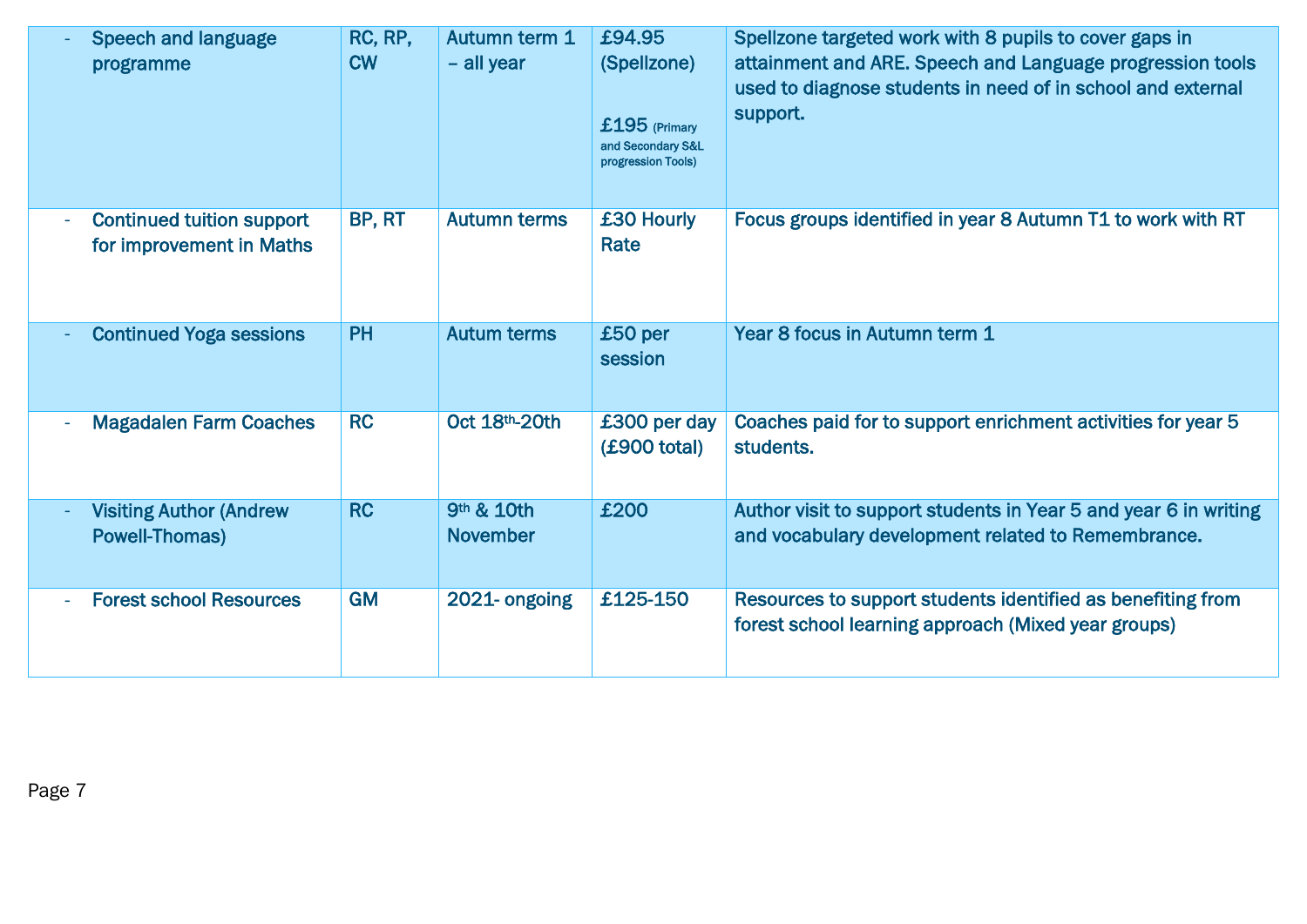| <b>Speech and language</b><br>programme                      | RC, RP,<br><b>CW</b> | Autumn term 1<br>- all year   | £94.95<br>(Spellzone)<br>$£195$ (Primary<br>and Secondary S&L<br>progression Tools) | Spellzone targeted work with 8 pupils to cover gaps in<br>attainment and ARE. Speech and Language progression tools<br>used to diagnose students in need of in school and external<br>support. |
|--------------------------------------------------------------|----------------------|-------------------------------|-------------------------------------------------------------------------------------|------------------------------------------------------------------------------------------------------------------------------------------------------------------------------------------------|
| <b>Continued tuition support</b><br>for improvement in Maths | BP, RT               | <b>Autumn terms</b>           | £30 Hourly<br>Rate                                                                  | Focus groups identified in year 8 Autumn T1 to work with RT                                                                                                                                    |
| <b>Continued Yoga sessions</b>                               | <b>PH</b>            | <b>Autum terms</b>            | £50 per<br>session                                                                  | Year 8 focus in Autumn term 1                                                                                                                                                                  |
| <b>Magadalen Farm Coaches</b>                                | RC                   | Oct 18th-20th                 | £300 per day<br>(£900 total)                                                        | Coaches paid for to support enrichment activities for year 5<br>students.                                                                                                                      |
| <b>Visiting Author (Andrew</b><br><b>Powell-Thomas)</b>      | <b>RC</b>            | 9th & 10th<br><b>November</b> | £200                                                                                | Author visit to support students in Year 5 and year 6 in writing<br>and vocabulary development related to Remembrance.                                                                         |
| <b>Forest school Resources</b>                               | <b>GM</b>            | 2021-ongoing                  | £125-150                                                                            | Resources to support students identified as benefiting from<br>forest school learning approach (Mixed year groups)                                                                             |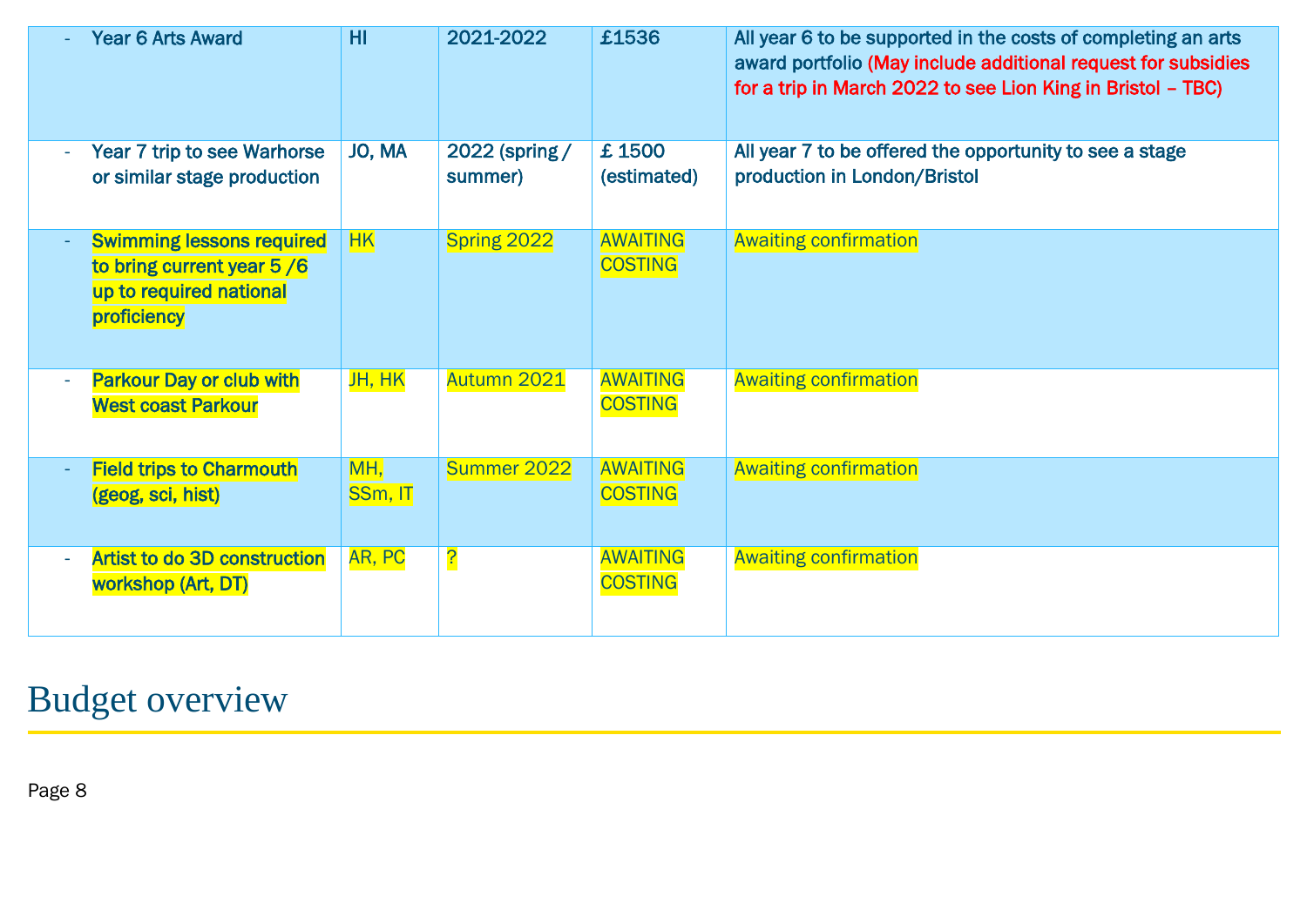| <b>Year 6 Arts Award</b>                                                                                | HI             | 2021-2022                 | £1536                             | All year 6 to be supported in the costs of completing an arts<br>award portfolio (May include additional request for subsidies<br>for a trip in March 2022 to see Lion King in Bristol - TBC) |
|---------------------------------------------------------------------------------------------------------|----------------|---------------------------|-----------------------------------|-----------------------------------------------------------------------------------------------------------------------------------------------------------------------------------------------|
| Year 7 trip to see Warhorse<br>or similar stage production                                              | JO, MA         | 2022 (spring /<br>summer) | £1500<br>(estimated)              | All year 7 to be offered the opportunity to see a stage<br>production in London/Bristol                                                                                                       |
| <b>Swimming lessons required</b><br>to bring current year 5/6<br>up to required national<br>proficiency | HK             | Spring 2022               | <b>AWAITING</b><br><b>COSTING</b> | <b>Awaiting confirmation</b>                                                                                                                                                                  |
| <b>Parkour Day or club with</b><br><b>West coast Parkour</b>                                            | JH, HK         | Autumn 2021               | <b>AWAITING</b><br><b>COSTING</b> | <b>Awaiting confirmation</b>                                                                                                                                                                  |
| <b>Field trips to Charmouth</b><br>(geog, sci, hist)                                                    | MH,<br>SSm, IT | Summer 2022               | <b>AWAITING</b><br><b>COSTING</b> | <b>Awaiting confirmation</b>                                                                                                                                                                  |
| <b>Artist to do 3D construction</b><br>workshop (Art, DT)                                               | AR, PC         | <u>?</u>                  | <b>AWAITING</b><br><b>COSTING</b> | <b>Awaiting confirmation</b>                                                                                                                                                                  |

# Budget overview

Page 8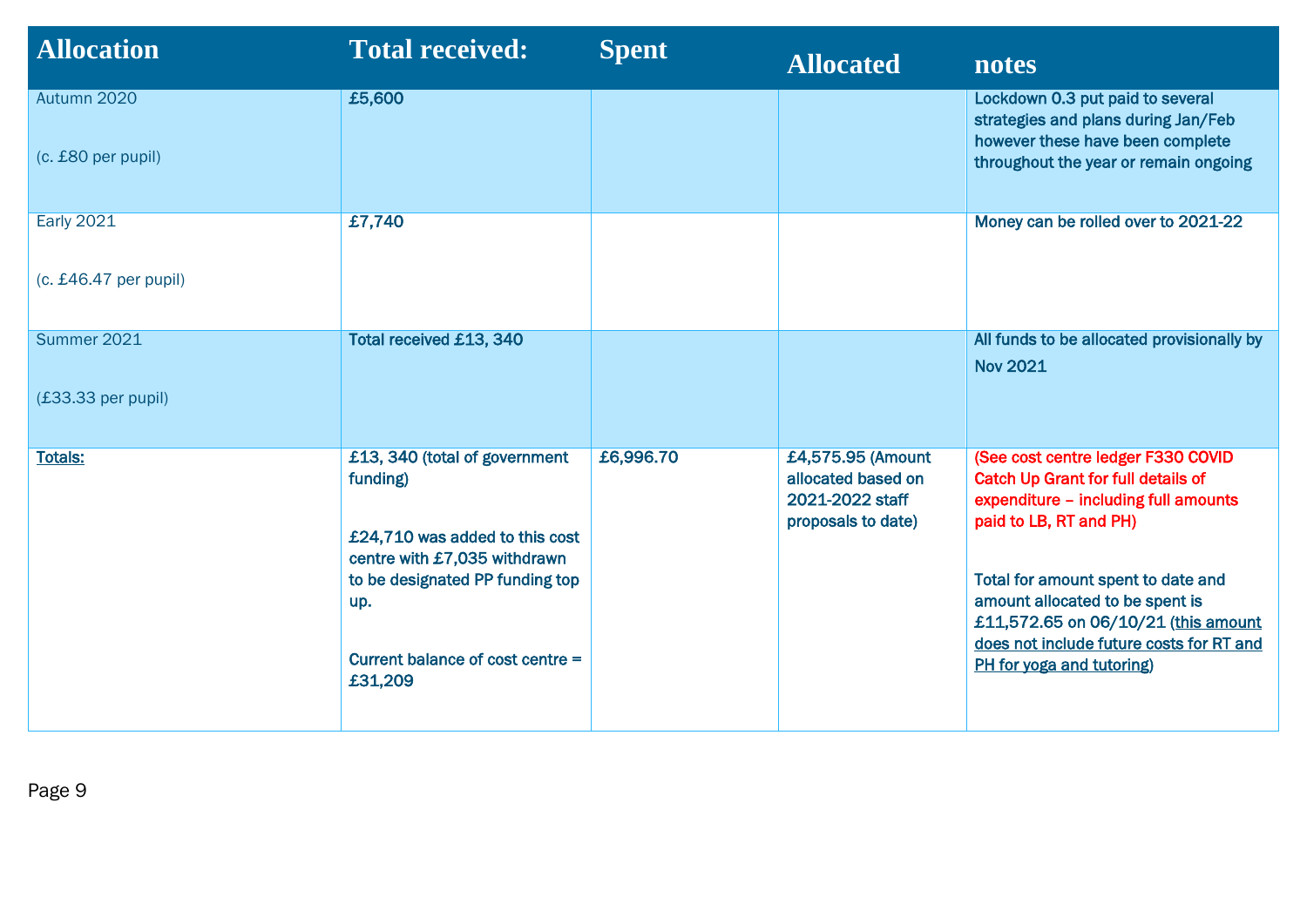| <b>Allocation</b>                            | <b>Total received:</b>                                                                                                                                                                               | <b>Spent</b> | <b>Allocated</b>                                                                 | notes                                                                                                                                                                                                                                                                                                                                      |
|----------------------------------------------|------------------------------------------------------------------------------------------------------------------------------------------------------------------------------------------------------|--------------|----------------------------------------------------------------------------------|--------------------------------------------------------------------------------------------------------------------------------------------------------------------------------------------------------------------------------------------------------------------------------------------------------------------------------------------|
| Autumn 2020<br>(c. £80 per pupil)            | £5,600                                                                                                                                                                                               |              |                                                                                  | Lockdown 0.3 put paid to several<br>strategies and plans during Jan/Feb<br>however these have been complete<br>throughout the year or remain ongoing                                                                                                                                                                                       |
| <b>Early 2021</b><br>$(c. £46.47$ per pupil) | £7,740                                                                                                                                                                                               |              |                                                                                  | Money can be rolled over to 2021-22                                                                                                                                                                                                                                                                                                        |
| Summer 2021<br>$(£33.33$ per pupil)          | <b>Total received £13, 340</b>                                                                                                                                                                       |              |                                                                                  | All funds to be allocated provisionally by<br><b>Nov 2021</b>                                                                                                                                                                                                                                                                              |
| <b>Totals:</b>                               | £13, 340 (total of government<br>funding)<br>£24,710 was added to this cost<br>centre with £7,035 withdrawn<br>to be designated PP funding top<br>up.<br>Current balance of cost centre =<br>£31,209 | £6,996.70    | £4,575.95 (Amount<br>allocated based on<br>2021-2022 staff<br>proposals to date) | (See cost centre ledger F330 COVID<br><b>Catch Up Grant for full details of</b><br>expenditure - including full amounts<br>paid to LB, RT and PH)<br>Total for amount spent to date and<br>amount allocated to be spent is<br>£11,572.65 on 06/10/21 (this amount<br>does not include future costs for RT and<br>PH for yoga and tutoring) |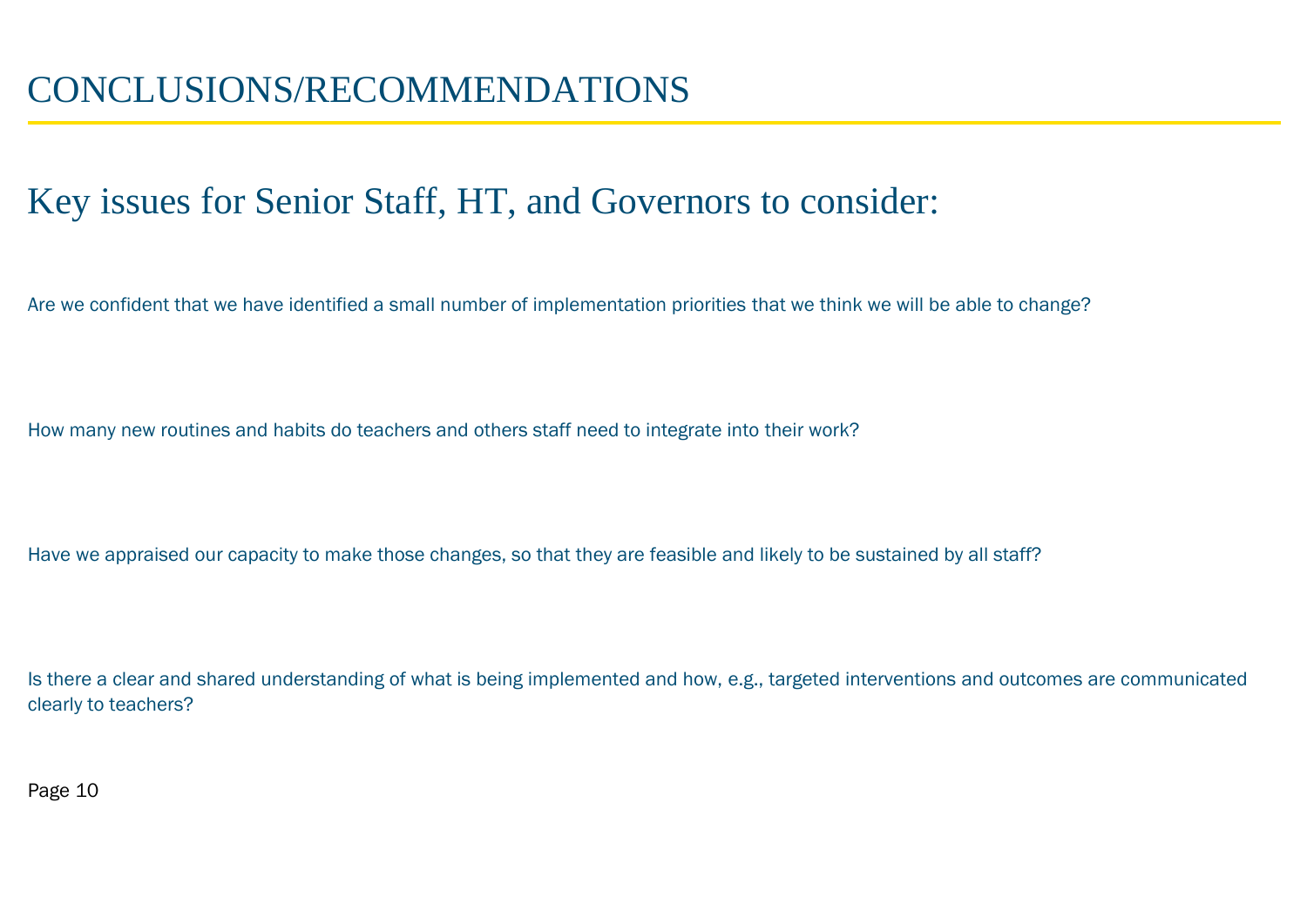#### Key issues for Senior Staff, HT, and Governors to consider:

Are we confident that we have identified a small number of implementation priorities that we think we will be able to change?

How many new routines and habits do teachers and others staff need to integrate into their work?

Have we appraised our capacity to make those changes, so that they are feasible and likely to be sustained by all staff?

Is there a clear and shared understanding of what is being implemented and how, e.g., targeted interventions and outcomes are communicated clearly to teachers?

Page 10